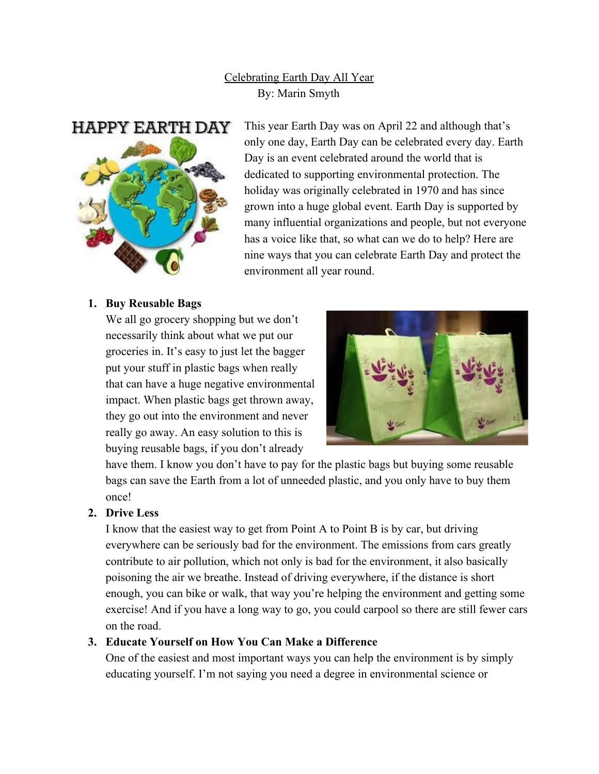# Celebrating Earth Day All Year By: Marin Smyth



This year Earth Day was on April 22 and although that's only one day, Earth Day can be celebrated every day. Earth Day is an event celebrated around the world that is dedicated to supporting environmental protection. The holiday was originally celebrated in 1970 and has since grown into a huge global event. Earth Day is supported by many influential organizations and people, but not everyone has a voice like that, so what can we do to help? Here are nine ways that you can celebrate Earth Day and protect the environment all year round.

#### **1. Buy Reusable Bags**

We all go grocery shopping but we don't necessarily think about what we put our groceries in. It's easy to just let the bagger put your stuff in plastic bags when really that can have a huge negative environmental impact. When plastic bags get thrown away, they go out into the environment and never really go away. An easy solution to this is buying reusable bags, if you don't already



have them. I know you don't have to pay for the plastic bags but buying some reusable bags can save the Earth from a lot of unneeded plastic, and you only have to buy them once!

## **2. Drive Less**

I know that the easiest way to get from Point A to Point B is by car, but driving everywhere can be seriously bad for the environment. The emissions from cars greatly contribute to air pollution, which not only is bad for the environment, it also basically poisoning the air we breathe. Instead of driving everywhere, if the distance is short enough, you can bike or walk, that way you're helping the environment and getting some exercise! And if you have a long way to go, you could carpool so there are still fewer cars on the road.

## **3. Educate Yourself on How You Can Make a Difference**

One of the easiest and most important ways you can help the environment is by simply educating yourself. I'm not saying you need a degree in environmental science or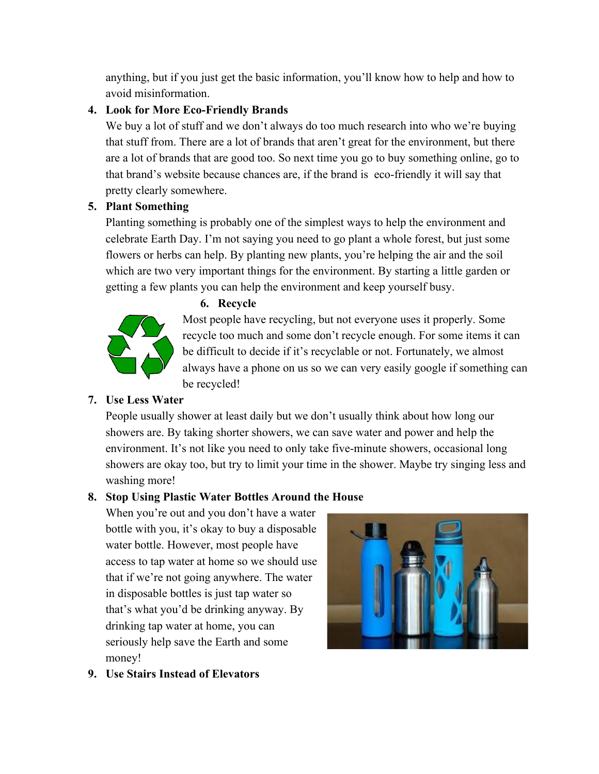anything, but if you just get the basic information, you'll know how to help and how to avoid misinformation.

## **4. Look for More Eco-Friendly Brands**

We buy a lot of stuff and we don't always do too much research into who we're buying that stuff from. There are a lot of brands that aren't great for the environment, but there are a lot of brands that are good too. So next time you go to buy something online, go to that brand's website because chances are, if the brand is eco-friendly it will say that pretty clearly somewhere.

# **5. Plant Something**

Planting something is probably one of the simplest ways to help the environment and celebrate Earth Day. I'm not saying you need to go plant a whole forest, but just some flowers or herbs can help. By planting new plants, you're helping the air and the soil which are two very important things for the environment. By starting a little garden or getting a few plants you can help the environment and keep yourself busy.



**6. Recycle**

Most people have recycling, but not everyone uses it properly. Some recycle too much and some don't recycle enough. For some items it can be difficult to decide if it's recyclable or not. Fortunately, we almost always have a phone on us so we can very easily google if something can be recycled!

# **7. Use Less Water**

People usually shower at least daily but we don't usually think about how long our showers are. By taking shorter showers, we can save water and power and help the environment. It's not like you need to only take five-minute showers, occasional long showers are okay too, but try to limit your time in the shower. Maybe try singing less and washing more!

# **8. Stop Using Plastic Water Bottles Around the House**

When you're out and you don't have a water bottle with you, it's okay to buy a disposable water bottle. However, most people have access to tap water at home so we should use that if we're not going anywhere. The water in disposable bottles is just tap water so that's what you'd be drinking anyway. By drinking tap water at home, you can seriously help save the Earth and some money!



**9. Use Stairs Instead of Elevators**